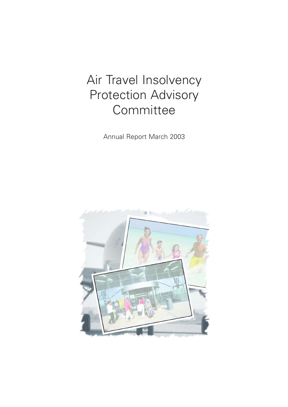# Air Travel Insolvency Protection Advisory **Committee**

Annual Report March 2003

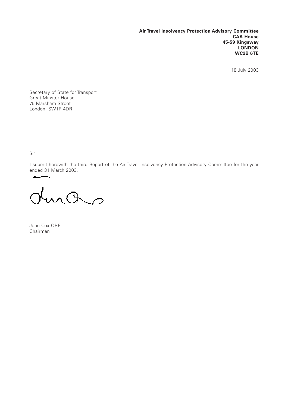**Air Travel Insolvency Protection Advisory Committee CAA House 45-59 Kingsway LONDON WC2B 6TE**

18 July 2003

Secretary of State for Transport Great Minster House 76 Marsham Street London SW1P 4DR

Sir

I submit herewith the third Report of the Air Travel Insolvency Protection Advisory Committee for the year ended 31 March 2003.

turas

John Cox OBE Chairman

 $\overline{\phantom{a}}$ and in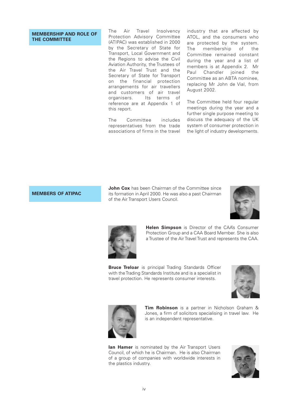### **MEMBERSHIP AND ROLE OF THE COMMITTEE**

The Air Travel Insolvency Protection Advisory Committee (ATIPAC) was established in 2000 by the Secretary of State for Transport, Local Government and the Regions to advise the Civil Aviation Authority, the Trustees of the Air Travel Trust and the Secretary of State for Transport on the financial protection arrangements for air travellers and customers of air travel organisers. Its terms of reference are at Appendix 1 of this report.

The Committee includes representatives from the trade associations of firms in the travel industry that are affected by ATOL, and the consumers who are protected by the system. The membership of the Committee remained constant during the year and a list of members is at Appendix 2. Mr Paul Chandler joined the Committee as an ABTA nominee, replacing Mr John de Vial, from August 2002.

The Committee held four regular meetings during the year and a further single purpose meeting to discuss the adequacy of the UK system of consumer protection in the light of industry developments.

### **MEMBERS OF ATIPAC**

**John Cox** has been Chairman of the Committee since its formation in April 2000. He was also a past Chairman of the Air Transport Users Council.





**Helen Simpson** is Director of the CAA's Consumer Protection Group and a CAA Board Member. She is also a Trustee of the Air Travel Trust and represents the CAA.

**Bruce Treloar** is principal Trading Standards Officer with the Trading Standards Institute and is a specialist in travel protection. He represents consumer interests.





**Tim Robinson** is a partner in Nicholson Graham & Jones, a firm of solicitors specialising in travel law. He is an independent representative.

**Ian Hamer** is nominated by the Air Transport Users Council, of which he is Chairman. He is also Chairman of a group of companies with worldwide interests in the plastics industry.

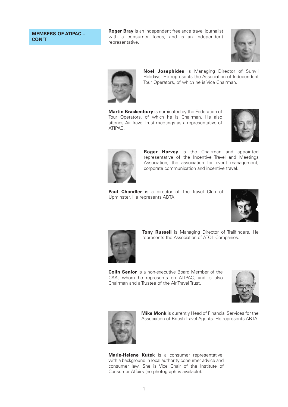### **MEMBERS OF ATIPAC – CON'T**

**Roger Bray** is an independent freelance travel journalist with a consumer focus, and is an independent representative.





**Noel Josephides** is Managing Director of Sunvil Holidays. He represents the Association of Independent Tour Operators, of which he is Vice Chairman.

**Martin Brackenbury** is nominated by the Federation of Tour Operators, of which he is Chairman. He also attends Air Travel Trust meetings as a representative of ATIPAC.





**Roger Harvey** is the Chairman and appointed representative of the Incentive Travel and Meetings Association, the association for event management, corporate communication and incentive travel.

**Paul Chandler** is a director of The Travel Club of Upminster. He represents ABTA.





**Tony Russell** is Managing Director of Trailfinders. He represents the Association of ATOL Companies.

**Colin Senior** is a non-executive Board Member of the CAA, whom he represents on ATIPAC, and is also Chairman and a Trustee of the Air Travel Trust.





**Mike Monk** is currently Head of Financial Services for the Association of British Travel Agents. He represents ABTA.

**Marie-Helene Kutek** is a consumer representative, with a background in local authority consumer advice and consumer law. She is Vice Chair of the Institute of Consumer Affairs (no photograph is available).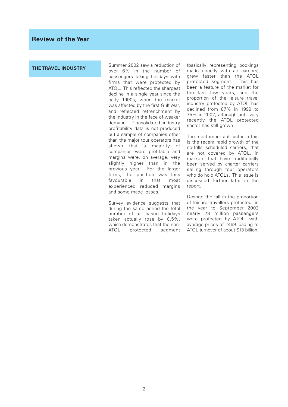### **THE TRAVEL INDUSTRY**

Summer 2002 saw a reduction of over 6% in the number of passengers taking holidays with firms that were protected by ATOL. This reflected the sharpest decline in a single year since the early 1990s, when the market was affected by the first Gulf War, and reflected retrenchment by the industry in the face of weaker demand. Consolidated industry profitability data is not produced but a sample of companies other than the major tour operators has shown that a majority of companies were profitable and margins were, on average, very slightly higher than in the previous year. For the larger firms, the position was less favourable in that most experienced reduced margins and some made losses.

Survey evidence suggests that during the same period the total number of air based holidays taken actually rose by 0.5%, which demonstrates that the non-<br>ATOL protected seament protected segment

(basically representing bookings made directly with air carriers) grew faster than the ATOL protected segment. This has been a feature of the market for the last few years, and the proportion of the leisure travel industry protected by ATOL has declined from 87% in 1999 to 75% in 2002, although until very recently the ATOL protected sector has still grown.

The most important factor in this is the recent rapid growth of the no-frills scheduled carriers, that are not covered by ATOL, in markets that have traditionally been served by charter carriers selling through tour operators who do hold ATOLs. This issue is discussed further later in the report.

Despite the fall in the proportion of leisure travellers protected, in the year to September 2002 nearly 28 million passengers were protected by ATOL, with average prices of £469 leading to ATOL turnover of about £13 billion.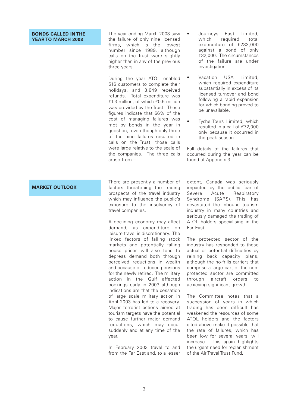#### **BONDS CALLED IN THE YEAR TO MARCH 2003**

The year ending March 2003 saw the failure of only nine licensed firms, which is the lowest number since 1989, although calls on the Trust were slightly higher than in any of the previous three years.

During the year ATOL enabled 516 customers to complete their holidays, and 3,849 received refunds. Total expenditure was £1.3 million, of which £0.5 million was provided by the Trust. These figures indicate that 66% of the cost of managing failures was met by bonds in the year in question; even though only three of the nine failures resulted in calls on the Trust, those calls were large relative to the scale of the companies. The three calls arose from –

There are presently a number of factors threatening the trading prospects of the travel industry which may influence the public's exposure to the insolvency of travel companies.

A declining economy may affect demand, as expenditure on leisure travel is discretionary. The linked factors of falling stock markets and potentially falling house prices will also tend to depress demand both through perceived reductions in wealth and because of reduced pensions for the newly retired. The military action in the Gulf affected bookings early in 2003 although indications are that the cessation of large scale military action in April 2003 has led to a recovery. Major terrorist actions aimed at tourism targets have the potential to cause further major demand reductions, which may occur suddenly and at any time of the year.

In February 2003 travel to and from the Far East and, to a lesser

- Journeys East Limited, which required total expenditure of £233,000 against a bond of only £32,000. The circumstances of the failure are under investigation.
- Vacation USA Limited, which required expenditure substantially in excess of its licensed turnover and bond following a rapid expansion for which bonding proved to be unavailable.
- Tyche Tours Limited, which resulted in a call of £72,000 only because it occurred in the peak season.

Full details of the failures that occurred during the year can be found at Appendix 3.

extent, Canada was seriously impacted by the public fear of

### **MARKET OUTLOOK**

Severe Acute Respiratory Syndrome (SARS). This has devastated the inbound tourism industry in many countries and seriously damaged the trading of ATOL holders specialising in the Far East.

The protected sector of the industry has responded to these actual or potential difficulties by reining back capacity plans, although the no-frills carriers that comprise a large part of the nonprotected sector are committed through aircraft orders to achieving significant growth.

The Committee notes that a succession of years in which trading has been difficult has weakened the resources of some ATOL holders and the factors cited above make it possible that the rate of failures, which has been low for several years, will increase. This again highlights the urgent need for replenishment of the Air Travel Trust Fund.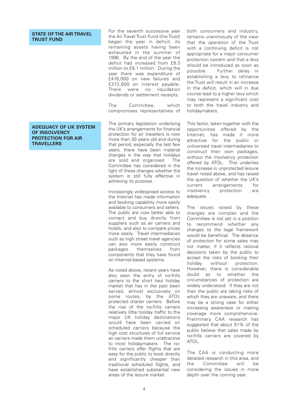### **STATE OF THE AIR TRAVEL TRUST FUND**

### **ADEQUACY OF UK SYSTEM OF INSOLVENCY PROTECTION FOR AIR TRAVELLERS**

For the seventh successive year the Air Travel Trust Fund (the Trust) began the year in deficit, its remaining assets having been exhausted in the summer of 1996. By the end of the year the deficit had increased from £8.3 million to £9.1 million. During the year there was expenditure of £416,000 on new failures and £372,000 on interest payable. There were no liquidation dividends or settlement receipts.

The Committee, which compromises representatives of

The primary legislation underlying the UK's arrangements for financial protection for air travellers is now more than 30 years old and during that period, especially the last few years, there have been material changes in the way that holidays are sold and organised. The Committee has considered in the light of these changes whether the system is still fully effective in achieving its purpose.

Increasingly widespread access to the Internet has made information and booking capability more easily available to consumers and sellers. The public are now better able to contact and buy directly from suppliers such as air carriers and hotels, and also to compare prices more easily. Travel intermediaries such as high street travel agencies can also more easily construct packages themselves from components that they have found on Internet-based systems.

As noted above, recent years have also seen the entry of no-frills carriers to the short haul holiday market that has in the past been served, almost exclusively on some routes, by the ATOL protected charter carriers. Before the rise of the no-frills carriers relatively little holiday traffic to the major UK holiday destinations would have been carried on scheduled carriers because the high cost structures of full service air carriers made them unattractive to most holidaymakers. The nofrills carriers offer flights that are easy for the public to book directly and significantly cheaper than traditional scheduled flights, and have established substantial new areas of the leisure market.

both consumers and industry, remains unanimously of the view that the operation of the Trust with a continuing deficit is not appropriate for a major consumer protection system and that a levy should be introduced as soon as possible. Further delay in establishing a levy to refinance the Trust will result in an increase in the deficit, which will in due course lead to a higher levy which may represent a significant cost to both the travel industry and holidaymakers.

This factor, taken together with the opportunities offered by the Internet, has made it more attractive for the public or unlicensed travel intermediaries to construct their own packages, without the insolvency protection offered by ATOL. This underlies the increase in unprotected leisure travel noted above, and has raised the question of whether the UK's current arrangements for insolvency protection are adequate.

The issues raised by these changes are complex and the Committee is not yet in a position to recommend whether any changes to the legal framework would be beneficial. The absence of protection for some sales may not matter, if it reflects rational decisions taken by the public to accept the risks of booking their holiday without protection. However, there is considerable doubt as to whether the circumstances of protection are widely understood: if they are not then the public are taking risks of which they are unaware, and there may be a strong case for either increasing awareness or making coverage more comprehensive. Preliminary CAA research has suggested that about 51% of the public believe that sales made by no-frills carriers are covered by ATOL.

The CAA is conducting more detailed research in this area, and the Committee will be considering the issues in more depth over the coming year.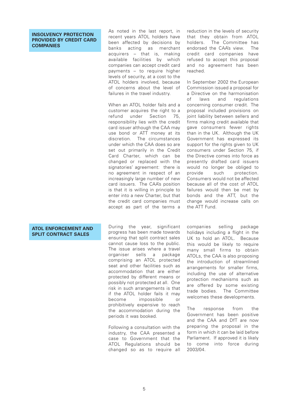### **INSOLVENCY PROTECTION PROVIDED BY CREDIT CARD COMPANIES**

As noted in the last report, in recent years ATOL holders have been affected by decisions by banks acting as merchant acquirers – that is, making available facilities by which companies can accept credit card payments – to require higher levels of security, at a cost to the ATOL holders involved, because of concerns about the level of failures in the travel industry.

When an ATOL holder fails and a customer acquires the right to a refund under Section 75, responsibility lies with the credit card issuer although the CAA may use bond or ATT money at its discretion. The circumstances under which the CAA does so are set out primarily in the Credit Card Charter, which can be changed or replaced with the signatories' agreement: there is no agreement in respect of an increasingly large number of new card issuers. The CAA's position is that it is willing in principle to enter into a new Charter, but that the credit card companies must accept as part of the terms a

reduction in the levels of security that they obtain from ATOL holders. The Committee has endorsed the CAA's view. The credit card companies have refused to accept this proposal and no agreement has been reached.

In September 2002 the European Commission issued a proposal for a Directive on the harmonisation of laws and regulations concerning consumer credit. The proposal included provisions on joint liability between sellers and firms making credit available that gave consumers fewer rights than in the UK. Although the UK Government has expressed its support for the rights given to UK consumers under Section 75, if the Directive comes into force as presently drafted card issuers would no longer be obliged to<br>provide such protection provide such protection. Consumers would not be affected because all of the cost of ATOL failures would then be met by bonds and the ATT, but the change would increase calls on the ATT Fund.

### **ATOL ENFORCEMENT AND SPLIT CONTRACT SALES**

During the year, significant progress has been made towards ensuring that split contract sales cannot cause loss to the public. The issue arises where a travel organiser sells a package comprising an ATOL protected seat and other facilities such as accommodation that are either protected by different means or possibly not protected at all. One risk in such arrangements is that if the ATOL holder fails it may become impossible or prohibitively expensive to reach the accommodation during the periods it was booked.

Following a consultation with the industry, the CAA presented a case to Government that the ATOL Regulations should be changed so as to require all

companies selling package holidays including a flight in the UK to hold an ATOL. Because this would be likely to require many small firms to obtain ATOLs, the CAA is also proposing the introduction of streamlined arrangements for smaller firms, including the use of alternative protection mechanisms such as are offered by some existing trade bodies. The Committee welcomes these developments.

The response from the Government has been positive and the CAA and DfT are now preparing the proposal in the form in which it can be laid before Parliament. If approved it is likely to come into force during 2003/04.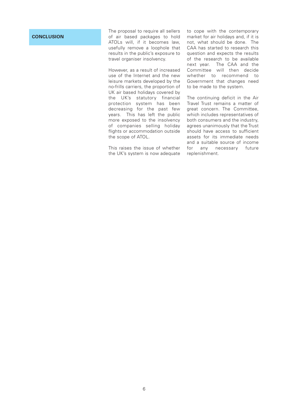### **CONCLUSION**

The proposal to require all sellers of air based packages to hold ATOLs will, if it becomes law, usefully remove a loophole that results in the public's exposure to travel organiser insolvency.

However, as a result of increased use of the Internet and the new leisure markets developed by the no-frills carriers, the proportion of UK air based holidays covered by the UK's statutory financial protection system has been decreasing for the past few years. This has left the public more exposed to the insolvency of companies selling holiday flights or accommodation outside the scope of ATOL.

This raises the issue of whether the UK's system is now adequate

to cope with the contemporary market for air holidays and, if it is not, what should be done. The CAA has started to research this question and expects the results of the research to be available next year. The CAA and the Committee will then decide whether to recommend to Government that changes need to be made to the system.

The continuing deficit in the Air Travel Trust remains a matter of great concern. The Committee, which includes representatives of both consumers and the industry, agrees unanimously that the Trust should have access to sufficient assets for its immediate needs and a suitable source of income for any necessary future replenishment.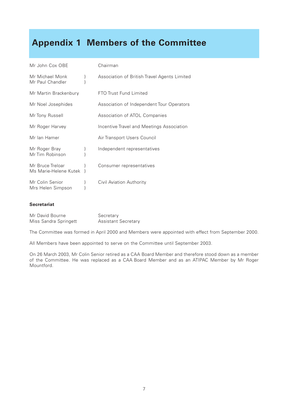## **Appendix 1 Members of the Committee**

| Mr John Cox OBE                           |   | Chairman                                     |
|-------------------------------------------|---|----------------------------------------------|
| Mr Michael Monk<br>Mr Paul Chandler       | } | Association of British Travel Agents Limited |
| Mr Martin Brackenbury                     |   | FTO Trust Fund Limited                       |
| Mr Noel Josephides                        |   | Association of Independent Tour Operators    |
| Mr Tony Russell                           |   | Association of ATOL Companies                |
| Mr Roger Harvey                           |   | Incentive Travel and Meetings Association    |
| Mr Ian Hamer                              |   | Air Transport Users Council                  |
| Mr Roger Bray<br>Mr Tim Robinson          | } | Independent representatives                  |
| Mr Bruce Treloar<br>Ms Marie-Helene Kutek |   | Consumer representatives                     |
| Mr Colin Senior<br>Mrs Helen Simpson      |   | Civil Aviation Authority                     |

### **Secretariat**

| Mr David Bourne       | Secretary                  |
|-----------------------|----------------------------|
| Miss Sandra Springett | <b>Assistant Secretary</b> |

The Committee was formed in April 2000 and Members were appointed with effect from September 2000.

All Members have been appointed to serve on the Committee until September 2003.

On 26 March 2003, Mr Colin Senior retired as a CAA Board Member and therefore stood down as a member of the Committee. He was replaced as a CAA Board Member and as an ATIPAC Member by Mr Roger Mountford.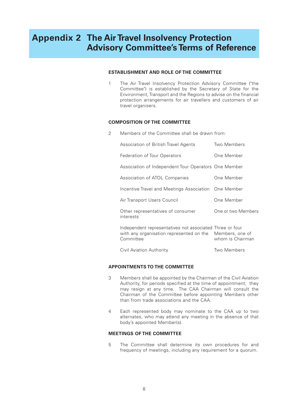### **Appendix 2 The Air Travel Insolvency Protection Advisory Committee's Terms of Reference**

### **ESTABLISHMENT AND ROLE OF THE COMMITTEE**

1 The Air Travel Insolvency Protection Advisory Committee ("the Committee") is established by the Secretary of State for the Environment, Transport and the Regions to advise on the financial protection arrangements for air travellers and customers of air travel organisers.

### **COMPOSITION OF THE COMMITTEE**

2 Members of the Committee shall be drawn from:

| Association of British Travel Agents                                                                                              | Two Members        |
|-----------------------------------------------------------------------------------------------------------------------------------|--------------------|
| Federation of Tour Operators                                                                                                      | One Member         |
| Association of Independent Tour Operators One Member                                                                              |                    |
| Association of ATOL Companies                                                                                                     | One Member         |
| Incentive Travel and Meetings Association One Member                                                                              |                    |
| Air Transport Users Council                                                                                                       | One Member         |
| Other representatives of consumer<br>interests                                                                                    | One or two Members |
| Independent representatives not associated Three or four<br>with any organisation represented on the Members, one of<br>Committee | whom is Chairman   |
| Civil Aviation Authority                                                                                                          | Two Members        |

### **APPOINTMENTS TO THE COMMITTEE**

- 3 Members shall be appointed by the Chairman of the Civil Aviation Authority, for periods specified at the time of appointment; they may resign at any time. The CAA Chairman will consult the Chairman of the Committee before appointing Members other than from trade associations and the CAA.
- 4 Each represented body may nominate to the CAA up to two alternates, who may attend any meeting in the absence of that body's appointed Member(s).

### **MEETINGS OF THE COMMITTEE**

5 The Committee shall determine its own procedures for and frequency of meetings, including any requirement for a quorum.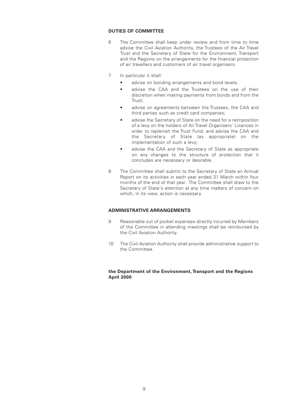### **DUTIES OF COMMITTEE**

- 6 The Committee shall keep under review and from time to time advise the Civil Aviation Authority, the Trustees of the Air Travel Trust and the Secretary of State for the Environment, Transport and the Regions on the arrangements for the financial protection of air travellers and customers of air travel organisers.
- 7 In particular it shall:
	- advise on bonding arrangements and bond levels:
	- advise the CAA and the Trustees on the use of their discretion when making payments from bonds and from the Trust;
	- advise on agreements between the Trustees, the CAA and third parties such as credit card companies;
	- advise the Secretary of State on the need for a reimposition of a levy on the holders of Air Travel Organisers' Licences in order to replenish the Trust Fund, and advise the CAA and the Secretary of State (as appropriate) on the implementation of such a levy;
	- advise the CAA and the Secretary of State as appropriate on any changes to the structure of protection that it concludes are necessary or desirable.
- 8 The Committee shall submit to the Secretary of State an Annual Report on its activities in each year ended 31 March within four months of the end of that year. The Committee shall draw to the Secretary of State's attention at any time matters of concern on which, in its view, action is necessary.

### **ADMINISTRATIVE ARRANGEMENTS**

- 9 Reasonable out of pocket expenses directly incurred by Members of the Committee in attending meetings shall be reimbursed by the Civil Aviation Authority.
- 10 The Civil Aviation Authority shall provide administrative support to the Committee.

### **the Department of the Environment, Transport and the Regions April 2000**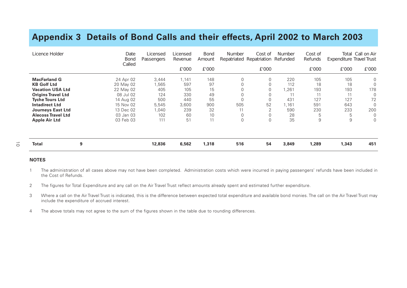### **Appendix 3 Details of Bond Calls and their effects, April 2002 to March 2003**

| Licence Holder            | Date<br>Bond<br>Called | <i>Licensed</i><br>Passengers | <i>Licensed</i><br>Revenue | <b>Bond</b><br>Amount | Number   | Cost of<br>Repatriated Repatriation | <b>Number</b><br>Refunded | Cost of<br>Refunds | Total<br>Expenditure Travel Trust | Call on Air |
|---------------------------|------------------------|-------------------------------|----------------------------|-----------------------|----------|-------------------------------------|---------------------------|--------------------|-----------------------------------|-------------|
|                           |                        |                               | £'000                      | £'000                 |          | £'000                               |                           | £'000              | £'000                             | £'000       |
| <b>MacFarland G</b>       | 24 Apr 02              | 3,444                         | 1,141                      | 148                   | $\Omega$ | 0                                   | 220                       | 105                | 105                               | 0           |
| <b>KB Golf Ltd</b>        | 20 May 02              | 1,565                         | 597                        | 97                    |          | 0                                   | 112                       | 18                 | 18                                | 0           |
| <b>Vacation USA Ltd</b>   | 22 May 02              | 405                           | 105                        | 15                    |          | 0                                   | 1,261                     | 193                | 193                               | 178         |
| <b>Origins Travel Ltd</b> | 08 Jul 02              | 124                           | 330                        | 49                    |          |                                     | 11                        | 11                 | 11                                | 0           |
| <b>Tyche Tours Ltd</b>    | 14 Aug 02              | 500                           | 440                        | 55                    |          | $\Omega$                            | 431                       | 127                | 127                               | 72          |
| <b>Intadirect Ltd</b>     | 15 Nov 02              | 5,545                         | 3,600                      | 900                   | 505      | 52                                  | ,161                      | 591                | 643                               | $\Omega$    |
| <b>Journeys East Ltd</b>  | 13 Dec 02              | 1,040                         | 239                        | 32                    | 11       | ⌒                                   | 590                       | 230                | 233                               | 200         |
| <b>Alecoss Travel Ltd</b> | 03 Jan 03              | 102                           | 60                         | 10                    |          |                                     | 28                        | 5                  | 5                                 | 0           |
| <b>Apple Air Ltd</b>      | 03 Feb 03              | 111                           | 51                         | 11                    | $\Omega$ | 0                                   | 35                        | $9\,$              | 9                                 | 0           |
|                           |                        |                               |                            |                       |          |                                     |                           |                    |                                   |             |
| Total                     | 9                      | 12,836                        | 6,562                      | 1,318                 | 516      | 54                                  | 3,849                     | 1,289              | 1,343                             | 451         |

#### **NOTES**

 $\vec{o}$ 

- 1 The administration of all cases above may not have been completed. Administration costs which were incurred in paying passengers' refunds have been included in the Cost of Refunds.
- 2 The figures for Total Expenditure and any call on the Air Travel Trust reflect amounts already spent and estimated further expenditure.
- 3 Where a call on the Air Travel Trust is indicated, this is the difference between expected total expenditure and available bond monies. The call on the Air Travel Trust may include the expenditure of accrued interest.
- 4 The above totals may not agree to the sum of the figures shown in the table due to rounding differences.